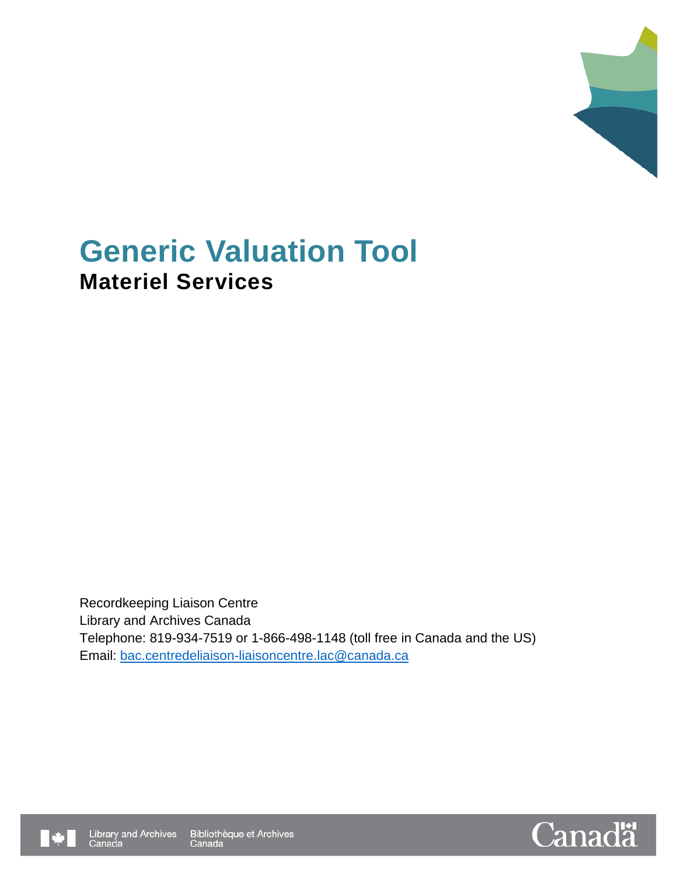

# **Generic Valuation Tool Materiel Services**

Recordkeeping Liaison Centre Library and Archives Canada Telephone: 819-934-7519 or 1-866-498-1148 (toll free in Canada and the US) Email: [bac.centredeliaison-liaisoncentre.lac@canada.ca](mailto:bac.centredeliaison-liaisoncentre.lac@canada.ca)



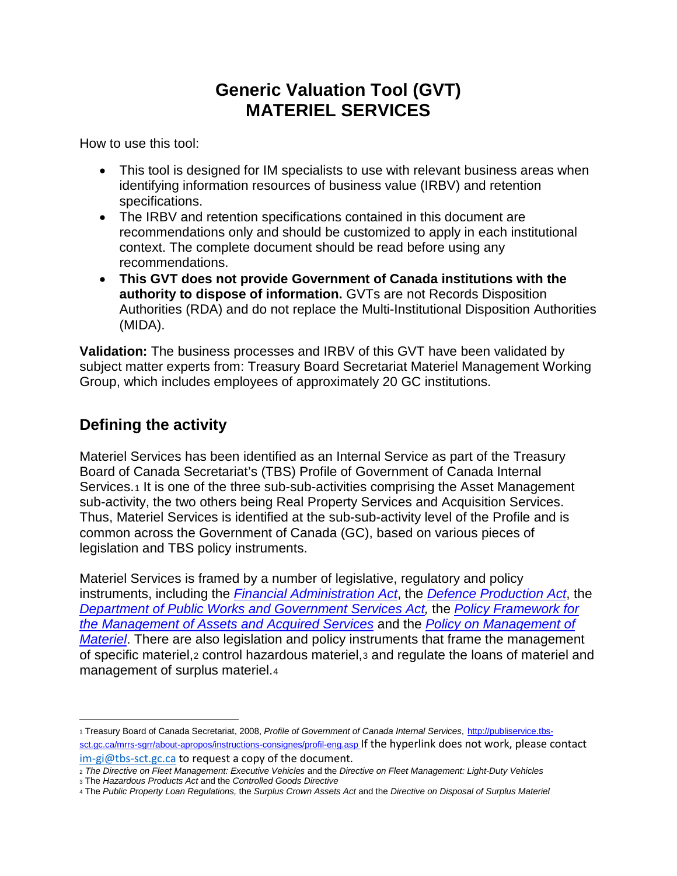# **Generic Valuation Tool (GVT) MATERIEL SERVICES**

How to use this tool:

- This tool is designed for IM specialists to use with relevant business areas when identifying information resources of business value (IRBV) and retention specifications.
- The IRBV and retention specifications contained in this document are recommendations only and should be customized to apply in each institutional context. The complete document should be read before using any recommendations.
- **This GVT does not provide Government of Canada institutions with the authority to dispose of information.** GVTs are not Records Disposition Authorities (RDA) and do not replace the Multi-Institutional Disposition Authorities (MIDA).

**Validation:** The business processes and IRBV of this GVT have been validated by subject matter experts from: Treasury Board Secretariat Materiel Management Working Group, which includes employees of approximately 20 GC institutions.

## **Defining the activity**

 $\overline{a}$ 

Materiel Services has been identified as an Internal Service as part of the Treasury Board of Canada Secretariat's (TBS) [Profile of Government of Canada Internal](http://www.tbs-sct.gc.ca/presentations/mrrs-sgrr/pis-psi/page01-eng.asp)  [Services.](http://www.tbs-sct.gc.ca/presentations/mrrs-sgrr/pis-psi/page01-eng.asp)<sub>[1](#page-1-0)</sub> It is one of the three sub-sub-activities comprising the Asset Management sub-activity, the two others being Real Property Services and Acquisition Services. Thus, Materiel Services is identified at the sub-sub-activity level of the Profile and is common across the Government of Canada (GC), based on various pieces of legislation and TBS policy instruments.

Materiel Services is framed by a number of legislative, regulatory and policy instruments, including the *[Financial Administration Act](http://laws-lois.justice.gc.ca/eng/acts/f-11/)*, the *[Defence Production Act](http://laws-lois.justice.gc.ca/eng/acts/d-1/)*, the *[Department of Public Works and Government Services Act,](http://laws-lois.justice.gc.ca/eng/acts/P-38.2/)* the *[Policy Framework for](http://www.tbs-sct.gc.ca/pol/doc-eng.aspx?id=12022§ion=text)  [the Management of Assets and Acquired Services](http://www.tbs-sct.gc.ca/pol/doc-eng.aspx?id=12022§ion=text)* and the *[Policy on Management of](http://www.tbs-sct.gc.ca/pol/doc-eng.aspx?section=text&id=12062)  [Materiel](http://www.tbs-sct.gc.ca/pol/doc-eng.aspx?section=text&id=12062)*. There are also legislation and policy instruments that frame the management of specific materiel,[2](#page-1-1) control hazardous materiel,[3](#page-1-2) and regulate the loans of materiel and management of surplus materiel.[4](#page-1-3)

<span id="page-1-0"></span><sup>1</sup> Treasury Board of Canada Secretariat, 2008, *Profile of Government of Canada Internal Services*, [http://publiservice.tbs](http://publiservice.tbs-sct.gc.ca/mrrs-sgrr/about-apropos/instructions-consignes/profil-eng.asp)[sct.gc.ca/mrrs-sgrr/about-apropos/instructions-consignes/profil-eng.asp](http://publiservice.tbs-sct.gc.ca/mrrs-sgrr/about-apropos/instructions-consignes/profil-eng.asp) If the hyperlink does not work, please contact [im-gi@tbs-sct.gc.ca](mailto:im-gi@tbs-sct.gc.ca) to request a copy of the document.

<span id="page-1-1"></span><sup>2</sup> *The Directive on Fleet Management: Executive Vehicles* and the *Directive on Fleet Management: Light-Duty Vehicles*

<span id="page-1-2"></span><sup>3</sup> The *Hazardous Products Act* and the *Controlled Goods Directive*

<span id="page-1-3"></span><sup>4</sup> The *Public Property Loan Regulations,* the *Surplus Crown Assets Act* and the *Directive on Disposal of Surplus Materiel*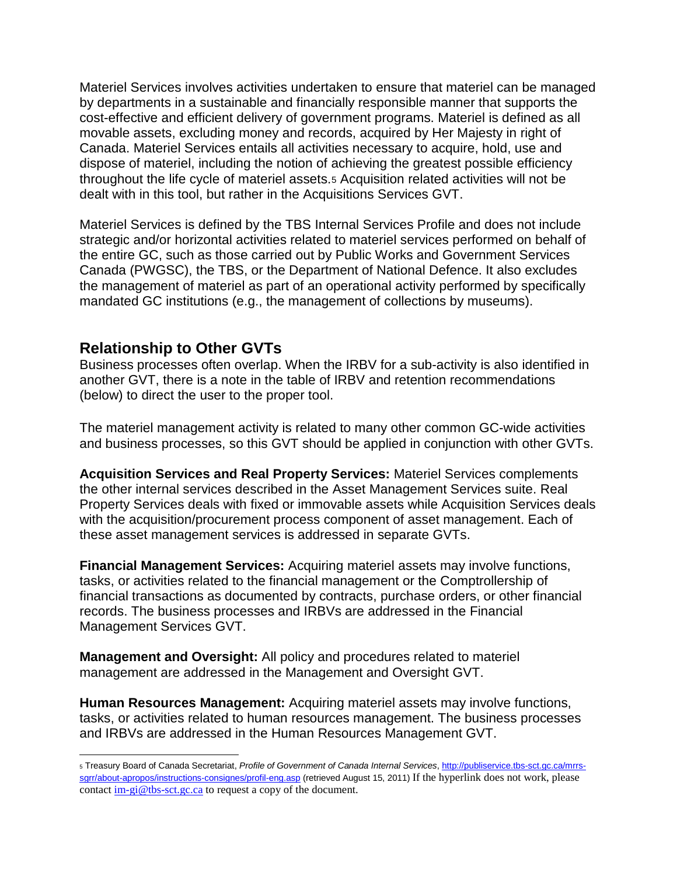Materiel Services involves activities undertaken to ensure that materiel can be managed by departments in a sustainable and financially responsible manner that supports the cost-effective and efficient delivery of government programs. Materiel is defined as all movable assets, excluding money and records, acquired by Her Majesty in right of Canada. Materiel Services entails all activities necessary to acquire, hold, use and dispose of materiel, including the notion of achieving the greatest possible efficiency throughout the life cycle of materiel assets.[5](#page-2-0) Acquisition related activities will not be dealt with in this tool, but rather in the Acquisitions Services GVT.

Materiel Services is defined by the TBS Internal Services Profile and does not include strategic and/or horizontal activities related to materiel services performed on behalf of the entire GC, such as those carried out by Public Works and Government Services Canada (PWGSC), the TBS, or the Department of National Defence. It also excludes the management of materiel as part of an operational activity performed by specifically mandated GC institutions (e.g., the management of collections by museums).

#### **Relationship to Other GVTs**

 $\overline{a}$ 

Business processes often overlap. When the IRBV for a sub-activity is also identified in another GVT, there is a note in the table of IRBV and retention recommendations (below) to direct the user to the proper tool.

The materiel management activity is related to many other common GC-wide activities and business processes, so this GVT should be applied in conjunction with other GVTs.

**Acquisition Services and Real Property Services:** Materiel Services complements the other internal services described in the Asset Management Services suite. Real Property Services deals with fixed or immovable assets while Acquisition Services deals with the acquisition/procurement process component of asset management. Each of these asset management services is addressed in separate GVTs.

**Financial Management Services:** Acquiring materiel assets may involve functions, tasks, or activities related to the financial management or the Comptrollership of financial transactions as documented by contracts, purchase orders, or other financial records. The business processes and IRBVs are addressed in the Financial Management Services GVT.

**Management and Oversight:** All policy and procedures related to materiel management are addressed in the Management and Oversight GVT.

**Human Resources Management:** Acquiring materiel assets may involve functions, tasks, or activities related to human resources management. The business processes and IRBVs are addressed in the Human Resources Management GVT.

<span id="page-2-0"></span><sup>5</sup> Treasury Board of Canada Secretariat, *Profile of Government of Canada Internal Services*, [http://publiservice.tbs-sct.gc.ca/mrrs](http://publiservice.tbs-sct.gc.ca/mrrs-sgrr/about-apropos/instructions-consignes/profil-eng.asp)[sgrr/about-apropos/instructions-consignes/profil-eng.asp](http://publiservice.tbs-sct.gc.ca/mrrs-sgrr/about-apropos/instructions-consignes/profil-eng.asp) (retrieved August 15, 2011) If the hyperlink does not work, please contact [im-gi@tbs-sct.gc.ca](mailto:im-gi@tbs-sct.gc.ca) to request a copy of the document.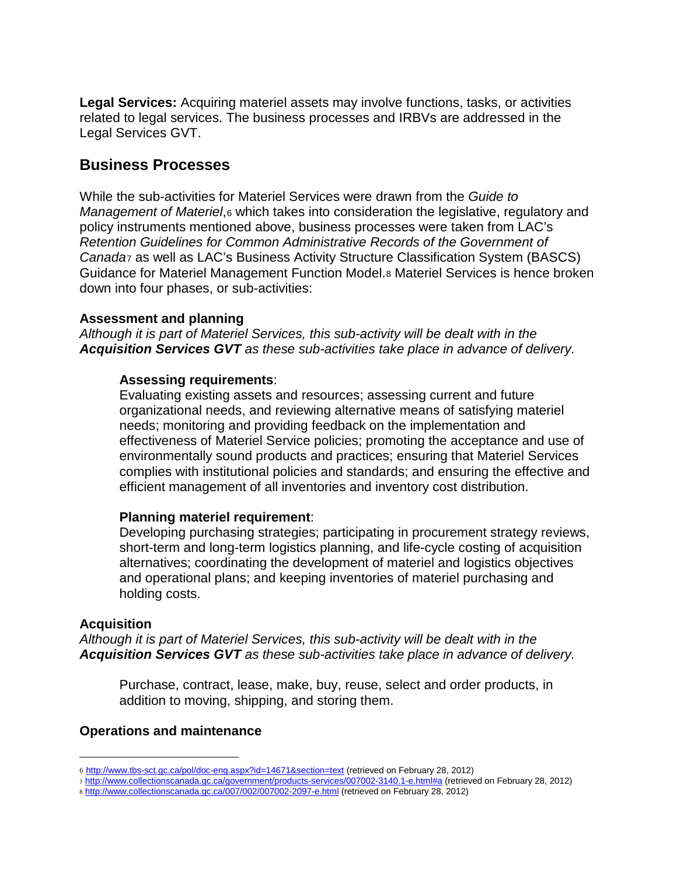**Legal Services:** Acquiring materiel assets may involve functions, tasks, or activities related to legal services. The business processes and IRBVs are addressed in the Legal Services GVT.

#### **Business Processes**

While the sub-activities for Materiel Services were drawn from the *Guide to Management of Materiel*,[6](#page-3-0) which takes into consideration the legislative, regulatory and policy instruments mentioned above, business processes were taken from LAC's *Retention Guidelines for Common Administrative Records of the Government of Canada*[7](#page-3-1) as well as LAC's Business Activity Structure Classification System (BASCS) Guidance for Materiel Management Function Model.[8](#page-3-2) Materiel Services is hence broken down into four phases, or sub-activities:

#### **Assessment and planning**

*Although it is part of Materiel Services, this sub-activity will be dealt with in the Acquisition Services GVT as these sub-activities take place in advance of delivery.*

#### **Assessing requirements**:

Evaluating existing assets and resources; assessing current and future organizational needs, and reviewing alternative means of satisfying materiel needs; monitoring and providing feedback on the implementation and effectiveness of Materiel Service policies; promoting the acceptance and use of environmentally sound products and practices; ensuring that Materiel Services complies with institutional policies and standards; and ensuring the effective and efficient management of all inventories and inventory cost distribution.

#### **Planning materiel requirement**:

Developing purchasing strategies; participating in procurement strategy reviews, short-term and long-term logistics planning, and life-cycle costing of acquisition alternatives; coordinating the development of materiel and logistics objectives and operational plans; and keeping inventories of materiel purchasing and holding costs.

#### **Acquisition**

 $\overline{a}$ 

*Although it is part of Materiel Services, this sub-activity will be dealt with in the Acquisition Services GVT as these sub-activities take place in advance of delivery.*

Purchase, contract, lease, make, buy, reuse, select and order products, in addition to moving, shipping, and storing them.

#### **Operations and maintenance**

<span id="page-3-0"></span><sup>6</sup> [http://www.tbs-sct.gc.ca/pol/doc-eng.aspx?id=14671&section=text](http://www.tbs-sct.gc.ca/pol/doc-eng.aspx?id=14671§ion=text) (retrieved on February 28, 2012)

<span id="page-3-1"></span><sup>7</sup> <http://www.collectionscanada.gc.ca/government/products-services/007002-3140.1-e.html#a> (retrieved on February 28, 2012)

<span id="page-3-2"></span><sup>8</sup> <http://www.collectionscanada.gc.ca/007/002/007002-2097-e.html> (retrieved on February 28, 2012)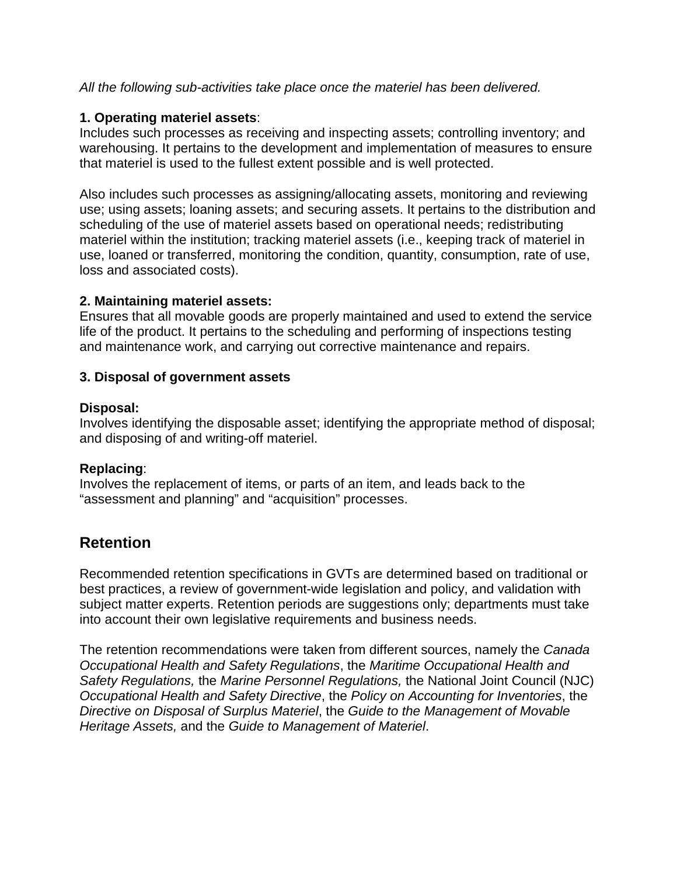#### *All the following sub-activities take place once the materiel has been delivered.*

#### **1. Operating materiel assets**:

Includes such processes as receiving and inspecting assets; controlling inventory; and warehousing. It pertains to the development and implementation of measures to ensure that materiel is used to the fullest extent possible and is well protected.

Also includes such processes as assigning/allocating assets, monitoring and reviewing use; using assets; loaning assets; and securing assets. It pertains to the distribution and scheduling of the use of materiel assets based on operational needs; redistributing materiel within the institution; tracking materiel assets (i.e., keeping track of materiel in use, loaned or transferred, monitoring the condition, quantity, consumption, rate of use, loss and associated costs).

#### **2. Maintaining materiel assets:**

Ensures that all movable goods are properly maintained and used to extend the service life of the product. It pertains to the scheduling and performing of inspections testing and maintenance work, and carrying out corrective maintenance and repairs.

#### **3. Disposal of government assets**

#### **Disposal:**

Involves identifying the disposable asset; identifying the appropriate method of disposal; and disposing of and writing-off materiel.

#### **Replacing**:

Involves the replacement of items, or parts of an item, and leads back to the "assessment and planning" and "acquisition" processes.

## **Retention**

Recommended retention specifications in GVTs are determined based on traditional or best practices, a review of government-wide legislation and policy, and validation with subject matter experts. Retention periods are suggestions only; departments must take into account their own legislative requirements and business needs.

The retention recommendations were taken from different sources, namely the *[Canada](http://laws-lois.justice.gc.ca/eng/regulations/SOR-86-304/index.html)  [Occupational Health and Safety Regulations](http://laws-lois.justice.gc.ca/eng/regulations/SOR-86-304/index.html)*, the *Maritime Occupational Health and Safety Regulations,* the *Marine Personnel Regulations,* the National Joint Council (NJC) *Occupational Health and Safety Directive*, the *[Policy on Accounting for Inventories](http://www.tbs-sct.gc.ca/pol/doc-eng.aspx?id=12153)*, the *Directive on Disposal of Surplus Materiel*, the *Guide to the Management of Movable Heritage Assets,* and the *[Guide to Management of Materiel](http://www.tbs-sct.gc.ca/pol/doc-eng.aspx?id=14671)*.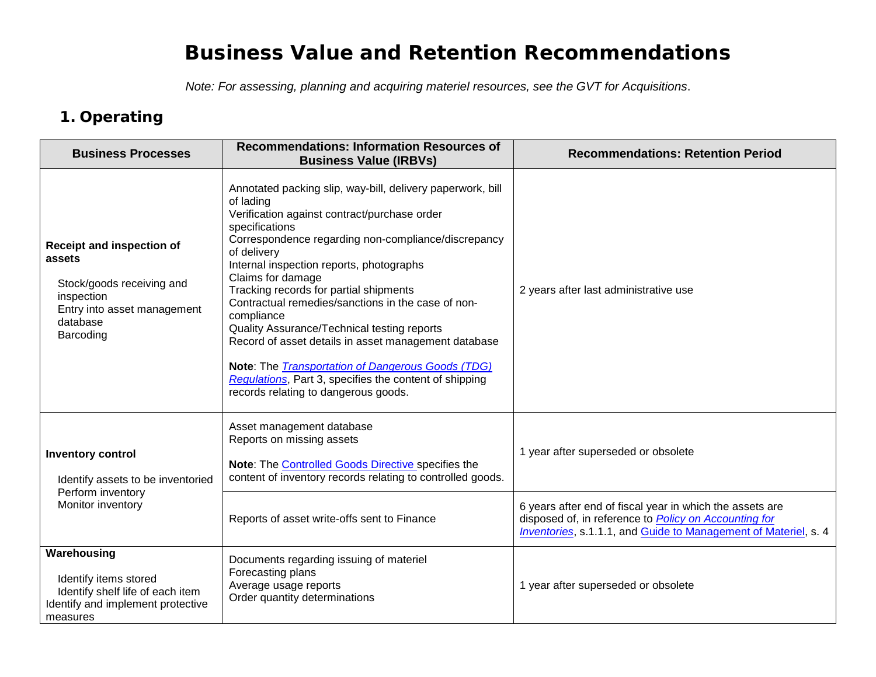# **Business Value and Retention Recommendations**

*Note: For assessing, planning and acquiring materiel resources, see the GVT for Acquisitions*.

# **1. Operating**

| <b>Business Processes</b>                                                                                                              | <b>Recommendations: Information Resources of</b><br><b>Business Value (IRBVs)</b>                                                                                                                                                                                                                                                                                                                                                                                                                                                                                                                                                                                   | <b>Recommendations: Retention Period</b>                                                                                                                                                    |
|----------------------------------------------------------------------------------------------------------------------------------------|---------------------------------------------------------------------------------------------------------------------------------------------------------------------------------------------------------------------------------------------------------------------------------------------------------------------------------------------------------------------------------------------------------------------------------------------------------------------------------------------------------------------------------------------------------------------------------------------------------------------------------------------------------------------|---------------------------------------------------------------------------------------------------------------------------------------------------------------------------------------------|
| Receipt and inspection of<br>assets<br>Stock/goods receiving and<br>inspection<br>Entry into asset management<br>database<br>Barcoding | Annotated packing slip, way-bill, delivery paperwork, bill<br>of lading<br>Verification against contract/purchase order<br>specifications<br>Correspondence regarding non-compliance/discrepancy<br>of delivery<br>Internal inspection reports, photographs<br>Claims for damage<br>Tracking records for partial shipments<br>Contractual remedies/sanctions in the case of non-<br>compliance<br>Quality Assurance/Technical testing reports<br>Record of asset details in asset management database<br>Note: The <b>Transportation of Dangerous Goods</b> (TDG)<br>Regulations, Part 3, specifies the content of shipping<br>records relating to dangerous goods. | 2 years after last administrative use                                                                                                                                                       |
| <b>Inventory control</b><br>Identify assets to be inventoried<br>Perform inventory<br>Monitor inventory                                | Asset management database<br>Reports on missing assets<br>Note: The Controlled Goods Directive specifies the<br>content of inventory records relating to controlled goods.                                                                                                                                                                                                                                                                                                                                                                                                                                                                                          | 1 year after superseded or obsolete                                                                                                                                                         |
|                                                                                                                                        | Reports of asset write-offs sent to Finance                                                                                                                                                                                                                                                                                                                                                                                                                                                                                                                                                                                                                         | 6 years after end of fiscal year in which the assets are<br>disposed of, in reference to Policy on Accounting for<br><b>Inventories, s.1.1.1, and Guide to Management of Materiel, s. 4</b> |
| Warehousing<br>Identify items stored<br>Identify shelf life of each item<br>Identify and implement protective<br>measures              | Documents regarding issuing of materiel<br>Forecasting plans<br>Average usage reports<br>Order quantity determinations                                                                                                                                                                                                                                                                                                                                                                                                                                                                                                                                              | 1 year after superseded or obsolete                                                                                                                                                         |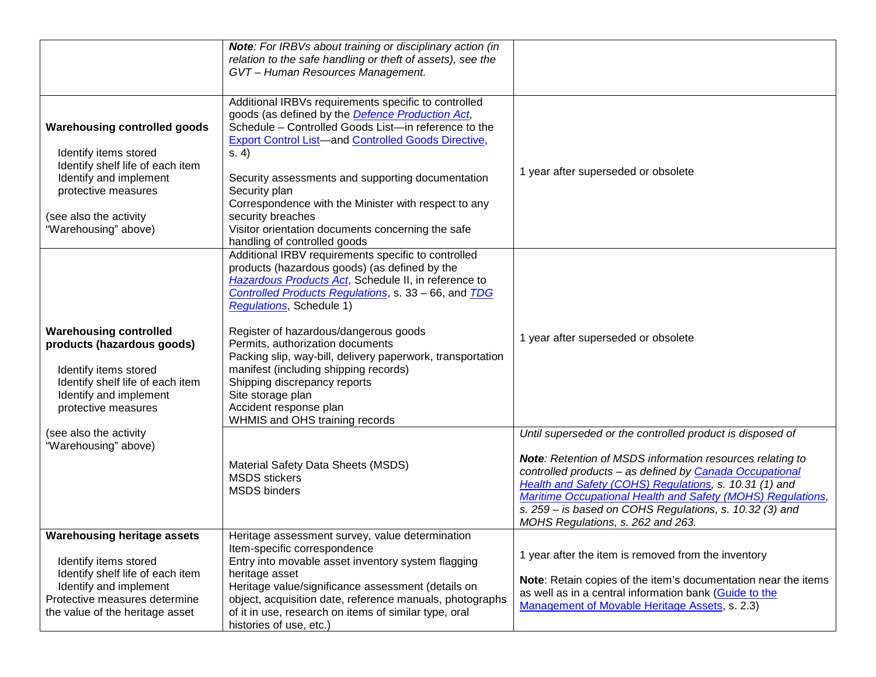|                                                                                                                                                                                                     | Note: For IRBVs about training or disciplinary action (in<br>relation to the safe handling or theft of assets), see the<br>GVT-Human Resources Management.                                                                                                                                                                                                                                                                                                                                                                                                    |                                                                                                                                                                                                                                                                                                                                                                                                            |
|-----------------------------------------------------------------------------------------------------------------------------------------------------------------------------------------------------|---------------------------------------------------------------------------------------------------------------------------------------------------------------------------------------------------------------------------------------------------------------------------------------------------------------------------------------------------------------------------------------------------------------------------------------------------------------------------------------------------------------------------------------------------------------|------------------------------------------------------------------------------------------------------------------------------------------------------------------------------------------------------------------------------------------------------------------------------------------------------------------------------------------------------------------------------------------------------------|
| <b>Warehousing controlled goods</b><br>Identify items stored<br>Identify shelf life of each item<br>Identify and implement<br>protective measures<br>(see also the activity<br>"Warehousing" above) | Additional IRBVs requirements specific to controlled<br>goods (as defined by the Defence Production Act,<br>Schedule - Controlled Goods List-in reference to the<br><b>Export Control List-and Controlled Goods Directive,</b><br>s. 4)<br>Security assessments and supporting documentation<br>Security plan<br>Correspondence with the Minister with respect to any<br>security breaches<br>Visitor orientation documents concerning the safe<br>handling of controlled goods                                                                               | 1 year after superseded or obsolete                                                                                                                                                                                                                                                                                                                                                                        |
| <b>Warehousing controlled</b><br>products (hazardous goods)<br>Identify items stored<br>Identify shelf life of each item<br>Identify and implement<br>protective measures                           | Additional IRBV requirements specific to controlled<br>products (hazardous goods) (as defined by the<br>Hazardous Products Act, Schedule II, in reference to<br>Controlled Products Regulations, s. 33 - 66, and TDG<br><b>Regulations</b> , Schedule 1)<br>Register of hazardous/dangerous goods<br>Permits, authorization documents<br>Packing slip, way-bill, delivery paperwork, transportation<br>manifest (including shipping records)<br>Shipping discrepancy reports<br>Site storage plan<br>Accident response plan<br>WHMIS and OHS training records | 1 year after superseded or obsolete                                                                                                                                                                                                                                                                                                                                                                        |
| (see also the activity<br>"Warehousing" above)                                                                                                                                                      | Material Safety Data Sheets (MSDS)<br><b>MSDS</b> stickers<br><b>MSDS</b> binders                                                                                                                                                                                                                                                                                                                                                                                                                                                                             | Until superseded or the controlled product is disposed of<br>Note: Retention of MSDS information resources relating to<br>controlled products - as defined by Canada Occupational<br>Health and Safety (COHS) Regulations, s. 10.31 (1) and<br>Maritime Occupational Health and Safety (MOHS) Regulations,<br>s. 259 - is based on COHS Regulations, s. 10.32 (3) and<br>MOHS Regulations, s. 262 and 263. |
| <b>Warehousing heritage assets</b><br>Identify items stored<br>Identify shelf life of each item<br>Identify and implement<br>Protective measures determine<br>the value of the heritage asset       | Heritage assessment survey, value determination<br>Item-specific correspondence<br>Entry into movable asset inventory system flagging<br>heritage asset<br>Heritage value/significance assessment (details on<br>object, acquisition date, reference manuals, photographs<br>of it in use, research on items of similar type, oral<br>histories of use, etc.)                                                                                                                                                                                                 | 1 year after the item is removed from the inventory<br>Note: Retain copies of the item's documentation near the items<br>as well as in a central information bank (Guide to the<br>Management of Movable Heritage Assets, s. 2.3)                                                                                                                                                                          |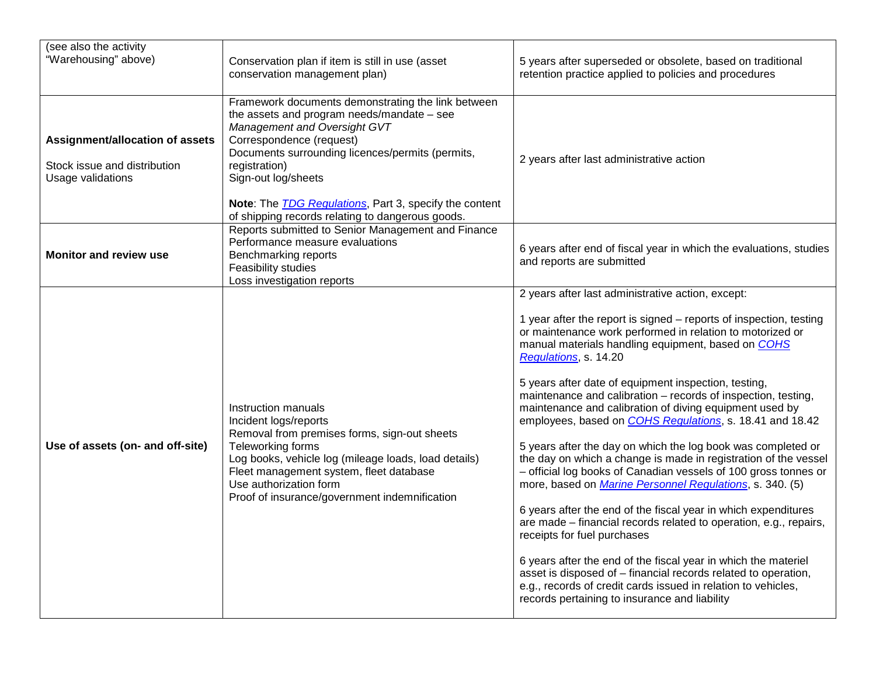| (see also the activity<br>"Warehousing" above)                                       | Conservation plan if item is still in use (asset<br>conservation management plan)                                                                                                                                                                                                                                                                                               | 5 years after superseded or obsolete, based on traditional<br>retention practice applied to policies and procedures                                                                                                                                                                                                                                                                                                                                                                                                                                                                                                                                                                                                                                                                                                                                                                                                                                                                                                                                                                                                                                                                                                               |
|--------------------------------------------------------------------------------------|---------------------------------------------------------------------------------------------------------------------------------------------------------------------------------------------------------------------------------------------------------------------------------------------------------------------------------------------------------------------------------|-----------------------------------------------------------------------------------------------------------------------------------------------------------------------------------------------------------------------------------------------------------------------------------------------------------------------------------------------------------------------------------------------------------------------------------------------------------------------------------------------------------------------------------------------------------------------------------------------------------------------------------------------------------------------------------------------------------------------------------------------------------------------------------------------------------------------------------------------------------------------------------------------------------------------------------------------------------------------------------------------------------------------------------------------------------------------------------------------------------------------------------------------------------------------------------------------------------------------------------|
| Assignment/allocation of assets<br>Stock issue and distribution<br>Usage validations | Framework documents demonstrating the link between<br>the assets and program needs/mandate $-$ see<br>Management and Oversight GVT<br>Correspondence (request)<br>Documents surrounding licences/permits (permits,<br>registration)<br>Sign-out log/sheets<br>Note: The <b>TDG</b> Regulations, Part 3, specify the content<br>of shipping records relating to dangerous goods. | 2 years after last administrative action                                                                                                                                                                                                                                                                                                                                                                                                                                                                                                                                                                                                                                                                                                                                                                                                                                                                                                                                                                                                                                                                                                                                                                                          |
| <b>Monitor and review use</b>                                                        | Reports submitted to Senior Management and Finance<br>Performance measure evaluations<br>Benchmarking reports<br>Feasibility studies<br>Loss investigation reports                                                                                                                                                                                                              | 6 years after end of fiscal year in which the evaluations, studies<br>and reports are submitted                                                                                                                                                                                                                                                                                                                                                                                                                                                                                                                                                                                                                                                                                                                                                                                                                                                                                                                                                                                                                                                                                                                                   |
| Use of assets (on- and off-site)                                                     | Instruction manuals<br>Incident logs/reports<br>Removal from premises forms, sign-out sheets<br>Teleworking forms<br>Log books, vehicle log (mileage loads, load details)<br>Fleet management system, fleet database<br>Use authorization form<br>Proof of insurance/government indemnification                                                                                 | 2 years after last administrative action, except:<br>1 year after the report is signed - reports of inspection, testing<br>or maintenance work performed in relation to motorized or<br>manual materials handling equipment, based on COHS<br>Regulations, s. 14.20<br>5 years after date of equipment inspection, testing,<br>maintenance and calibration - records of inspection, testing,<br>maintenance and calibration of diving equipment used by<br>employees, based on <b>COHS Regulations</b> , s. 18.41 and 18.42<br>5 years after the day on which the log book was completed or<br>the day on which a change is made in registration of the vessel<br>- official log books of Canadian vessels of 100 gross tonnes or<br>more, based on <i>Marine Personnel Regulations</i> , s. 340. (5)<br>6 years after the end of the fiscal year in which expenditures<br>are made - financial records related to operation, e.g., repairs,<br>receipts for fuel purchases<br>6 years after the end of the fiscal year in which the materiel<br>asset is disposed of - financial records related to operation,<br>e.g., records of credit cards issued in relation to vehicles,<br>records pertaining to insurance and liability |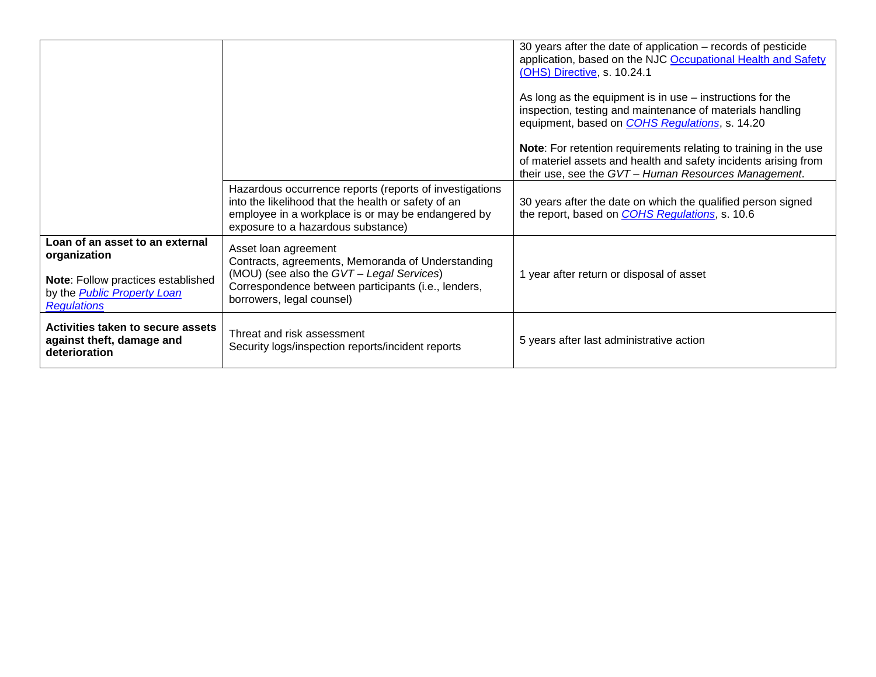|                                                                                                |                                                                                                                                                                                                            | 30 years after the date of application - records of pesticide<br>application, based on the NJC Occupational Health and Safety<br>(OHS) Directive, s. 10.24.1<br>As long as the equipment is in use $-$ instructions for the<br>inspection, testing and maintenance of materials handling |
|------------------------------------------------------------------------------------------------|------------------------------------------------------------------------------------------------------------------------------------------------------------------------------------------------------------|------------------------------------------------------------------------------------------------------------------------------------------------------------------------------------------------------------------------------------------------------------------------------------------|
|                                                                                                |                                                                                                                                                                                                            | equipment, based on <b>COHS Regulations</b> , s. 14.20                                                                                                                                                                                                                                   |
|                                                                                                |                                                                                                                                                                                                            | Note: For retention requirements relating to training in the use<br>of materiel assets and health and safety incidents arising from<br>their use, see the GVT - Human Resources Management.                                                                                              |
|                                                                                                | Hazardous occurrence reports (reports of investigations<br>into the likelihood that the health or safety of an<br>employee in a workplace is or may be endangered by<br>exposure to a hazardous substance) | 30 years after the date on which the qualified person signed<br>the report, based on COHS Regulations, s. 10.6                                                                                                                                                                           |
| Loan of an asset to an external<br>organization                                                | Asset loan agreement<br>Contracts, agreements, Memoranda of Understanding                                                                                                                                  |                                                                                                                                                                                                                                                                                          |
| Note: Follow practices established<br>by the <b>Public Property Loan</b><br><b>Regulations</b> | (MOU) (see also the GVT - Legal Services)<br>Correspondence between participants (i.e., lenders,<br>borrowers, legal counsel)                                                                              | 1 year after return or disposal of asset                                                                                                                                                                                                                                                 |
| Activities taken to secure assets<br>against theft, damage and<br>deterioration                | Threat and risk assessment<br>Security logs/inspection reports/incident reports                                                                                                                            | 5 years after last administrative action                                                                                                                                                                                                                                                 |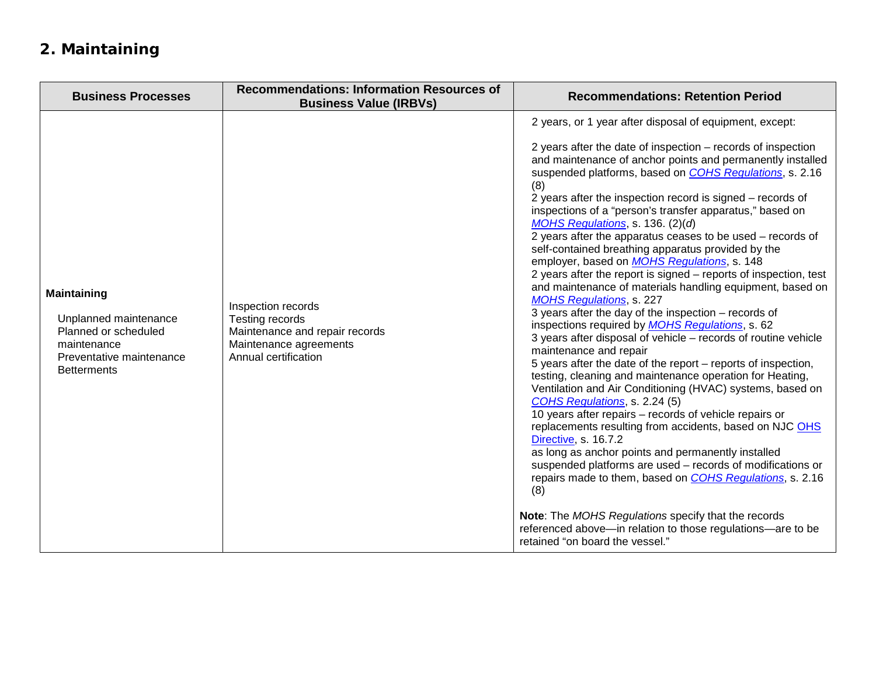# **2. Maintaining**

| <b>Business Processes</b>                                                                                                            | <b>Recommendations: Information Resources of</b><br><b>Business Value (IRBVs)</b>                                                | <b>Recommendations: Retention Period</b>                                                                                                                                                                                                                                                                                                                                                                                                                                                                                                                                                                                                                                                                                                                                                                                                                                                                                                                                                                                                                                                                                                                                                                                                                                                                                                                                                                                                                                                                                                                                                                                                                                                                                  |
|--------------------------------------------------------------------------------------------------------------------------------------|----------------------------------------------------------------------------------------------------------------------------------|---------------------------------------------------------------------------------------------------------------------------------------------------------------------------------------------------------------------------------------------------------------------------------------------------------------------------------------------------------------------------------------------------------------------------------------------------------------------------------------------------------------------------------------------------------------------------------------------------------------------------------------------------------------------------------------------------------------------------------------------------------------------------------------------------------------------------------------------------------------------------------------------------------------------------------------------------------------------------------------------------------------------------------------------------------------------------------------------------------------------------------------------------------------------------------------------------------------------------------------------------------------------------------------------------------------------------------------------------------------------------------------------------------------------------------------------------------------------------------------------------------------------------------------------------------------------------------------------------------------------------------------------------------------------------------------------------------------------------|
| <b>Maintaining</b><br>Unplanned maintenance<br>Planned or scheduled<br>maintenance<br>Preventative maintenance<br><b>Betterments</b> | Inspection records<br><b>Testing records</b><br>Maintenance and repair records<br>Maintenance agreements<br>Annual certification | 2 years, or 1 year after disposal of equipment, except:<br>2 years after the date of inspection - records of inspection<br>and maintenance of anchor points and permanently installed<br>suspended platforms, based on <b>COHS Regulations</b> , s. 2.16<br>(8)<br>2 years after the inspection record is signed – records of<br>inspections of a "person's transfer apparatus," based on<br>MOHS Regulations, s. 136. (2)(d)<br>2 years after the apparatus ceases to be used - records of<br>self-contained breathing apparatus provided by the<br>employer, based on <b>MOHS Regulations</b> , s. 148<br>2 years after the report is signed - reports of inspection, test<br>and maintenance of materials handling equipment, based on<br><b>MOHS Regulations, s. 227</b><br>3 years after the day of the inspection – records of<br>inspections required by <b>MOHS</b> Regulations, s. 62<br>3 years after disposal of vehicle - records of routine vehicle<br>maintenance and repair<br>5 years after the date of the report – reports of inspection,<br>testing, cleaning and maintenance operation for Heating,<br>Ventilation and Air Conditioning (HVAC) systems, based on<br>COHS Regulations, s. 2.24 (5)<br>10 years after repairs - records of vehicle repairs or<br>replacements resulting from accidents, based on NJC OHS<br>Directive, s. 16.7.2<br>as long as anchor points and permanently installed<br>suspended platforms are used - records of modifications or<br>repairs made to them, based on <b>COHS</b> Regulations, s. 2.16<br>(8)<br>Note: The MOHS Regulations specify that the records<br>referenced above-in relation to those regulations-are to be<br>retained "on board the vessel." |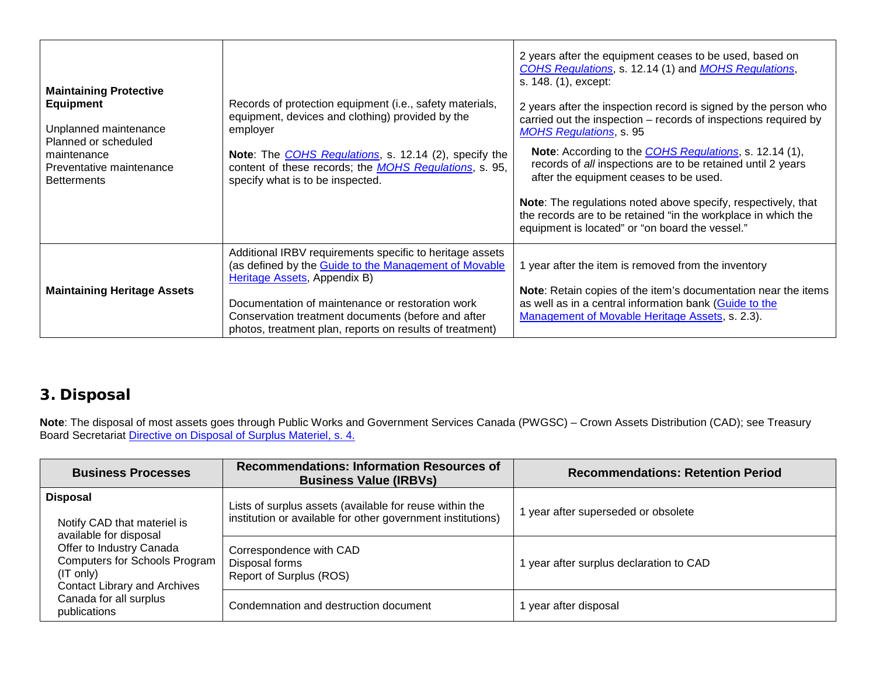| <b>Maintaining Protective</b><br><b>Equipment</b><br>Unplanned maintenance<br>Planned or scheduled<br>maintenance<br>Preventative maintenance<br><b>Betterments</b> | Records of protection equipment (i.e., safety materials,<br>equipment, devices and clothing) provided by the<br>employer<br>Note: The <i>COHS Regulations</i> , s. 12.14 (2), specify the<br>content of these records; the <b>MOHS</b> Regulations, s. 95,<br>specify what is to be inspected.                          | 2 years after the equipment ceases to be used, based on<br>COHS Regulations, s. 12.14 (1) and MOHS Regulations,<br>s. 148. (1), except:<br>2 years after the inspection record is signed by the person who<br>carried out the inspection - records of inspections required by<br><b>MOHS Regulations, s. 95</b><br>Note: According to the COHS Regulations, s. 12.14 (1),<br>records of all inspections are to be retained until 2 years<br>after the equipment ceases to be used.<br>Note: The regulations noted above specify, respectively, that<br>the records are to be retained "in the workplace in which the |
|---------------------------------------------------------------------------------------------------------------------------------------------------------------------|-------------------------------------------------------------------------------------------------------------------------------------------------------------------------------------------------------------------------------------------------------------------------------------------------------------------------|----------------------------------------------------------------------------------------------------------------------------------------------------------------------------------------------------------------------------------------------------------------------------------------------------------------------------------------------------------------------------------------------------------------------------------------------------------------------------------------------------------------------------------------------------------------------------------------------------------------------|
|                                                                                                                                                                     |                                                                                                                                                                                                                                                                                                                         | equipment is located" or "on board the vessel."                                                                                                                                                                                                                                                                                                                                                                                                                                                                                                                                                                      |
| <b>Maintaining Heritage Assets</b>                                                                                                                                  | Additional IRBV requirements specific to heritage assets<br>(as defined by the Guide to the Management of Movable<br>Heritage Assets, Appendix B)<br>Documentation of maintenance or restoration work<br>Conservation treatment documents (before and after<br>photos, treatment plan, reports on results of treatment) | 1 year after the item is removed from the inventory<br>Note: Retain copies of the item's documentation near the items<br>as well as in a central information bank (Guide to the<br>Management of Movable Heritage Assets, s. 2.3).                                                                                                                                                                                                                                                                                                                                                                                   |

# **3. Disposal**

**Note**: The disposal of most assets goes through Public Works and Government Services Canada (PWGSC) – Crown Assets Distribution (CAD); see Treasury Board Secretariat *Directive on Disposal of Surplus Materiel, s. 4.* 

| <b>Business Processes</b>                                                                                                                                                                        | <b>Recommendations: Information Resources of</b><br><b>Business Value (IRBVs)</b>                                      | <b>Recommendations: Retention Period</b> |
|--------------------------------------------------------------------------------------------------------------------------------------------------------------------------------------------------|------------------------------------------------------------------------------------------------------------------------|------------------------------------------|
| <b>Disposal</b><br>Notify CAD that materiel is<br>available for disposal<br>Offer to Industry Canada<br><b>Computers for Schools Program</b><br>(IT only)<br><b>Contact Library and Archives</b> | Lists of surplus assets (available for reuse within the<br>institution or available for other government institutions) | I year after superseded or obsolete      |
|                                                                                                                                                                                                  | Correspondence with CAD<br>Disposal forms<br>Report of Surplus (ROS)                                                   | year after surplus declaration to CAD    |
| Canada for all surplus<br>publications                                                                                                                                                           | Condemnation and destruction document                                                                                  | year after disposal                      |